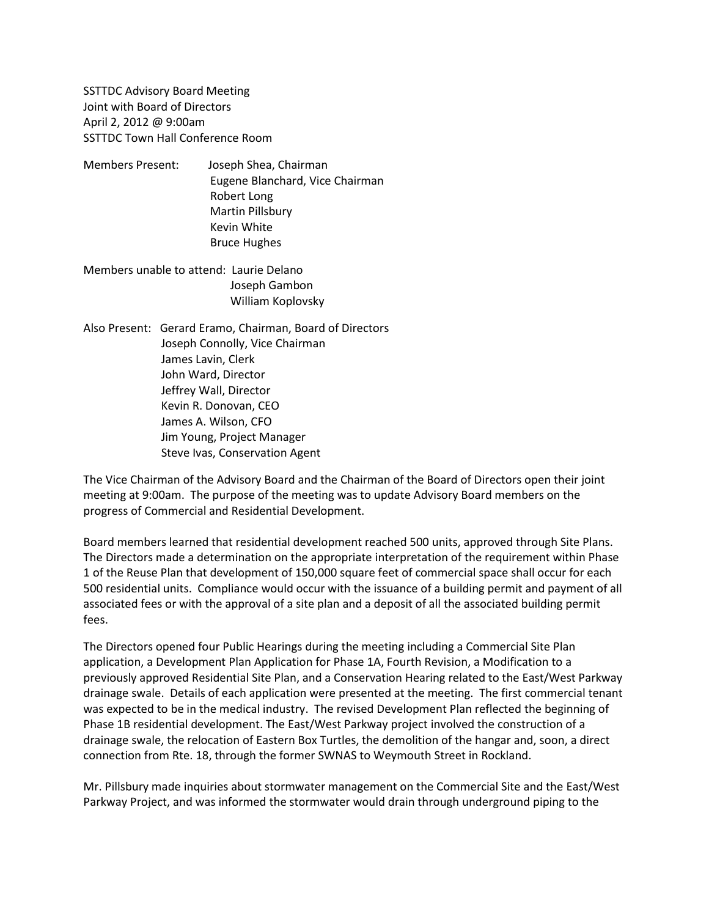SSTTDC Advisory Board Meeting Joint with Board of Directors April 2, 2012 @ 9:00am SSTTDC Town Hall Conference Room

Members Present: Joseph Shea, Chairman Eugene Blanchard, Vice Chairman Robert Long Martin Pillsbury Kevin White Bruce Hughes

Members unable to attend: Laurie Delano Joseph Gambon William Koplovsky

Also Present: Gerard Eramo, Chairman, Board of Directors Joseph Connolly, Vice Chairman James Lavin, Clerk John Ward, Director Jeffrey Wall, Director Kevin R. Donovan, CEO James A. Wilson, CFO Jim Young, Project Manager Steve Ivas, Conservation Agent

The Vice Chairman of the Advisory Board and the Chairman of the Board of Directors open their joint meeting at 9:00am. The purpose of the meeting was to update Advisory Board members on the progress of Commercial and Residential Development.

Board members learned that residential development reached 500 units, approved through Site Plans. The Directors made a determination on the appropriate interpretation of the requirement within Phase 1 of the Reuse Plan that development of 150,000 square feet of commercial space shall occur for each 500 residential units. Compliance would occur with the issuance of a building permit and payment of all associated fees or with the approval of a site plan and a deposit of all the associated building permit fees.

The Directors opened four Public Hearings during the meeting including a Commercial Site Plan application, a Development Plan Application for Phase 1A, Fourth Revision, a Modification to a previously approved Residential Site Plan, and a Conservation Hearing related to the East/West Parkway drainage swale. Details of each application were presented at the meeting. The first commercial tenant was expected to be in the medical industry. The revised Development Plan reflected the beginning of Phase 1B residential development. The East/West Parkway project involved the construction of a drainage swale, the relocation of Eastern Box Turtles, the demolition of the hangar and, soon, a direct connection from Rte. 18, through the former SWNAS to Weymouth Street in Rockland.

Mr. Pillsbury made inquiries about stormwater management on the Commercial Site and the East/West Parkway Project, and was informed the stormwater would drain through underground piping to the